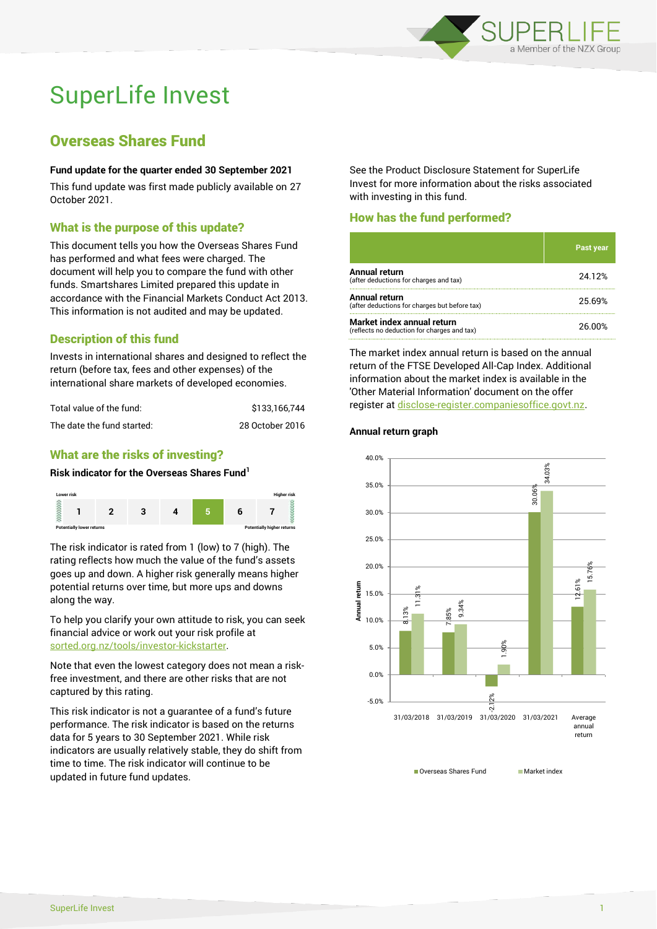

# SuperLife Invest

# Overseas Shares Fund

#### **Fund update for the quarter ended 30 September 2021**

This fund update was first made publicly available on 27 October 2021.

# What is the purpose of this update?

This document tells you how the Overseas Shares Fund has performed and what fees were charged. The document will help you to compare the fund with other funds. Smartshares Limited prepared this update in accordance with the Financial Markets Conduct Act 2013. This information is not audited and may be updated.

# Description of this fund

Invests in international shares and designed to reflect the return (before tax, fees and other expenses) of the international share markets of developed economies.

| Total value of the fund:   | \$133.166.744   |
|----------------------------|-----------------|
| The date the fund started: | 28 October 2016 |

# What are the risks of investing?

#### **Risk indicator for the Overseas Shares Fund<sup>1</sup>**



The risk indicator is rated from 1 (low) to 7 (high). The rating reflects how much the value of the fund's assets goes up and down. A higher risk generally means higher potential returns over time, but more ups and downs along the way.

To help you clarify your own attitude to risk, you can seek financial advice or work out your risk profile at [sorted.org.nz/tools/investor-kickstarter.](http://www.sorted.org.nz/tools/investor-kickstarter)

Note that even the lowest category does not mean a riskfree investment, and there are other risks that are not captured by this rating.

This risk indicator is not a guarantee of a fund's future performance. The risk indicator is based on the returns data for 5 years to 30 September 2021. While risk indicators are usually relatively stable, they do shift from time to time. The risk indicator will continue to be updated in future fund updates.

See the Product Disclosure Statement for SuperLife Invest for more information about the risks associated with investing in this fund.

# How has the fund performed?

|                                                                           | Past year |
|---------------------------------------------------------------------------|-----------|
| <b>Annual return</b><br>(after deductions for charges and tax)            | 24.12%    |
| Annual return<br>(after deductions for charges but before tax)            | 25.69%    |
| Market index annual return<br>(reflects no deduction for charges and tax) | 26.00%    |

The market index annual return is based on the annual return of the FTSE Developed All-Cap Index. Additional information about the market index is available in the 'Other Material Information' document on the offer register a[t disclose-register.companiesoffice.govt.nz.](http://www.disclose-register.companiesoffice.govt.nz/)

#### **Annual return graph**



■ Overseas Shares Fund Market index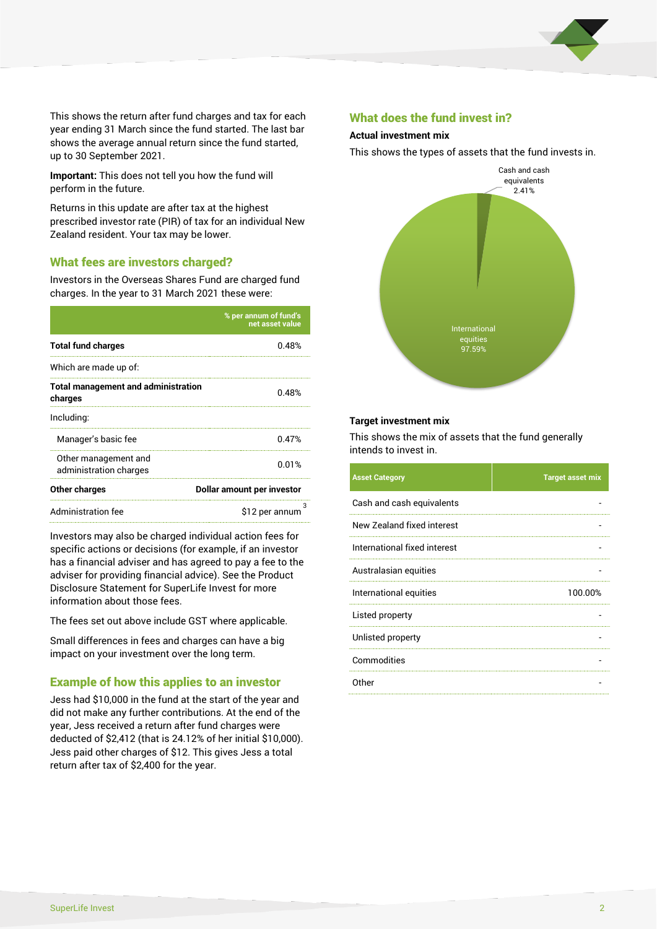

This shows the return after fund charges and tax for each year ending 31 March since the fund started. The last bar shows the average annual return since the fund started, up to 30 September 2021.

**Important:** This does not tell you how the fund will perform in the future.

Returns in this update are after tax at the highest prescribed investor rate (PIR) of tax for an individual New Zealand resident. Your tax may be lower.

# What fees are investors charged?

Investors in the Overseas Shares Fund are charged fund charges. In the year to 31 March 2021 these were:

|                                                       | % per annum of fund's<br>net asset value |  |
|-------------------------------------------------------|------------------------------------------|--|
| <b>Total fund charges</b>                             | በ 48%                                    |  |
| Which are made up of:                                 |                                          |  |
| <b>Total management and administration</b><br>charges | 0.48%                                    |  |
| Including:                                            |                                          |  |
| Manager's basic fee                                   | 0.47%                                    |  |
| Other management and<br>administration charges        | 0.01%                                    |  |
| Other charges                                         | Dollar amount per investor               |  |
| Administration fee                                    | з<br>\$12 per annum                      |  |

Investors may also be charged individual action fees for specific actions or decisions (for example, if an investor has a financial adviser and has agreed to pay a fee to the adviser for providing financial advice). See the Product Disclosure Statement for SuperLife Invest for more information about those fees.

The fees set out above include GST where applicable.

Small differences in fees and charges can have a big impact on your investment over the long term.

# Example of how this applies to an investor

Jess had \$10,000 in the fund at the start of the year and did not make any further contributions. At the end of the year, Jess received a return after fund charges were deducted of \$2,412 (that is 24.12% of her initial \$10,000). Jess paid other charges of \$12. This gives Jess a total return after tax of \$2,400 for the year.

#### What does the fund invest in?

#### **Actual investment mix**

This shows the types of assets that the fund invests in.



#### **Target investment mix**

This shows the mix of assets that the fund generally intends to invest in.

| <b>Asset Category</b>        | <b>Target asset mix</b> |
|------------------------------|-------------------------|
| Cash and cash equivalents    |                         |
| New Zealand fixed interest   |                         |
| International fixed interest |                         |
| Australasian equities        |                         |
| International equities       | 100.00%                 |
| Listed property              |                         |
| Unlisted property            |                         |
| Commodities                  |                         |
| Other                        |                         |